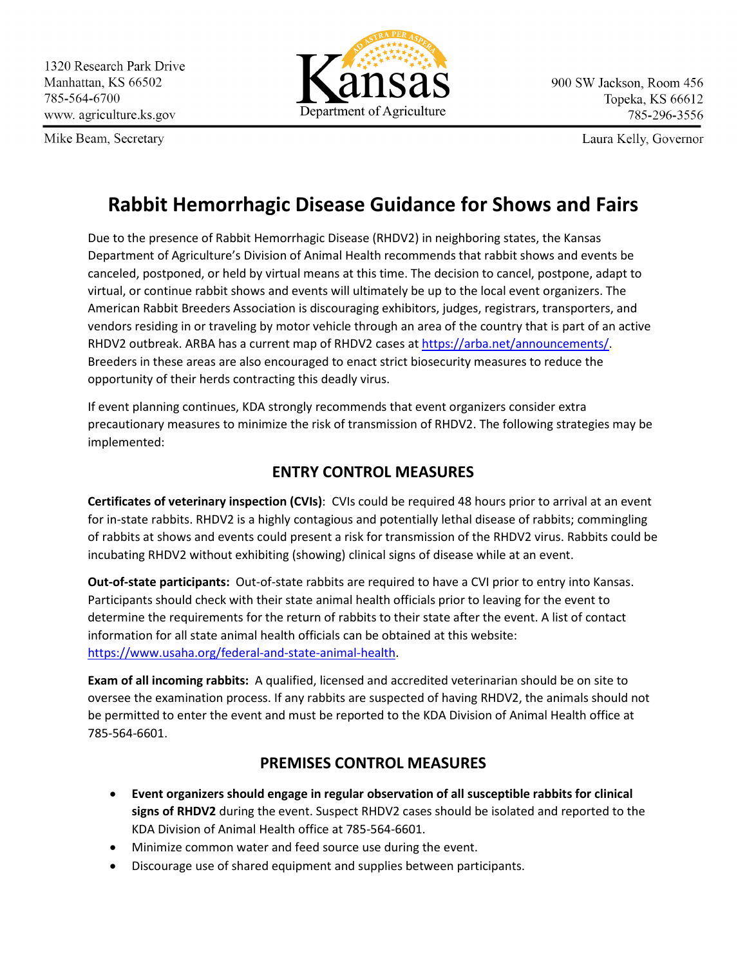Mike Beam, Secretary



Laura Kelly, Governor

## **Rabbit Hemorrhagic Disease Guidance for Shows and Fairs**

Due to the presence of Rabbit Hemorrhagic Disease (RHDV2) in neighboring states, the Kansas Department of Agriculture's Division of Animal Health recommends that rabbit shows and events be canceled, postponed, or held by virtual means at this time. The decision to cancel, postpone, adapt to virtual, or continue rabbit shows and events will ultimately be up to the local event organizers. The American Rabbit Breeders Association is discouraging exhibitors, judges, registrars, transporters, and vendors residing in or traveling by motor vehicle through an area of the country that is part of an active RHDV2 outbreak. ARBA has a current map of RHDV2 cases at [https://arba.net/announcements/.](https://arba.net/announcements/) Breeders in these areas are also encouraged to enact strict biosecurity measures to reduce the opportunity of their herds contracting this deadly virus.

If event planning continues, KDA strongly recommends that event organizers consider extra precautionary measures to minimize the risk of transmission of RHDV2. The following strategies may be implemented:

## **ENTRY CONTROL MEASURES**

**Certificates of veterinary inspection (CVIs)**: CVIs could be required 48 hours prior to arrival at an event for in-state rabbits. RHDV2 is a highly contagious and potentially lethal disease of rabbits; commingling of rabbits at shows and events could present a risk for transmission of the RHDV2 virus. Rabbits could be incubating RHDV2 without exhibiting (showing) clinical signs of disease while at an event.

**Out-of-state participants:** Out-of-state rabbits are required to have a CVI prior to entry into Kansas. Participants should check with their state animal health officials prior to leaving for the event to determine the requirements for the return of rabbits to their state after the event. A list of contact information for all state animal health officials can be obtained at this website: [https://www.usaha.org/federal-and-state-animal-health.](https://www.usaha.org/federal-and-state-animal-health)

**Exam of all incoming rabbits:** A qualified, licensed and accredited veterinarian should be on site to oversee the examination process. If any rabbits are suspected of having RHDV2, the animals should not be permitted to enter the event and must be reported to the KDA Division of Animal Health office at 785-564-6601.

## **PREMISES CONTROL MEASURES**

- **Event organizers should engage in regular observation of all susceptible rabbits for clinical signs of RHDV2** during the event. Suspect RHDV2 cases should be isolated and reported to the KDA Division of Animal Health office at 785-564-6601.
- Minimize common water and feed source use during the event.
- Discourage use of shared equipment and supplies between participants.